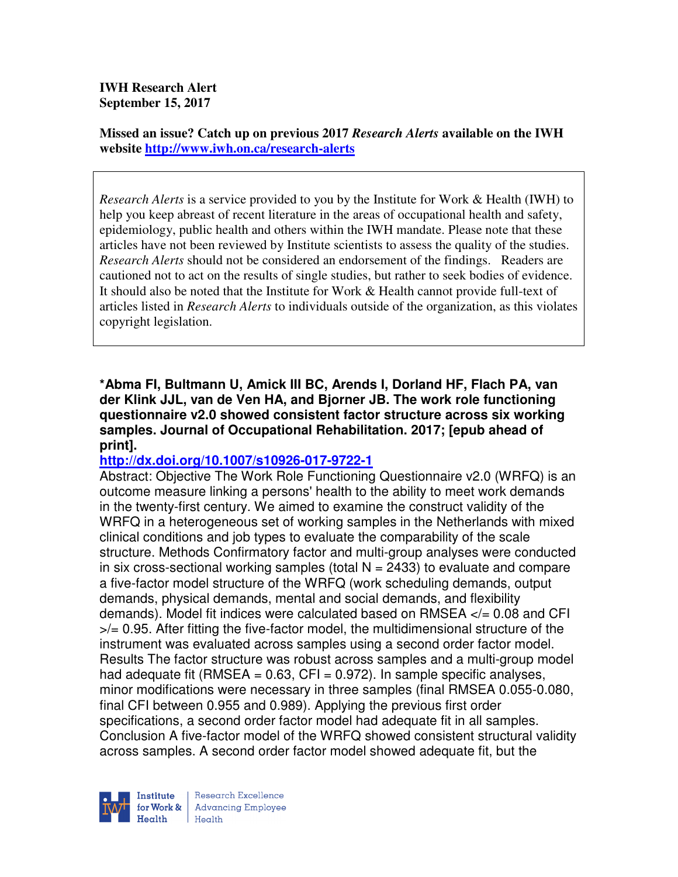**IWH Research Alert September 15, 2017** 

**Missed an issue? Catch up on previous 2017** *Research Alerts* **available on the IWH website http://www.iwh.on.ca/research-alerts**

*Research Alerts* is a service provided to you by the Institute for Work & Health (IWH) to help you keep abreast of recent literature in the areas of occupational health and safety, epidemiology, public health and others within the IWH mandate. Please note that these articles have not been reviewed by Institute scientists to assess the quality of the studies. *Research Alerts* should not be considered an endorsement of the findings. Readers are cautioned not to act on the results of single studies, but rather to seek bodies of evidence. It should also be noted that the Institute for Work & Health cannot provide full-text of articles listed in *Research Alerts* to individuals outside of the organization, as this violates copyright legislation.

**\*Abma FI, Bultmann U, Amick III BC, Arends I, Dorland HF, Flach PA, van der Klink JJL, van de Ven HA, and Bjorner JB. The work role functioning questionnaire v2.0 showed consistent factor structure across six working samples. Journal of Occupational Rehabilitation. 2017; [epub ahead of print].** 

## **http://dx.doi.org/10.1007/s10926-017-9722-1**

Abstract: Objective The Work Role Functioning Questionnaire v2.0 (WRFQ) is an outcome measure linking a persons' health to the ability to meet work demands in the twenty-first century. We aimed to examine the construct validity of the WRFQ in a heterogeneous set of working samples in the Netherlands with mixed clinical conditions and job types to evaluate the comparability of the scale structure. Methods Confirmatory factor and multi-group analyses were conducted in six cross-sectional working samples (total  $N = 2433$ ) to evaluate and compare a five-factor model structure of the WRFQ (work scheduling demands, output demands, physical demands, mental and social demands, and flexibility demands). Model fit indices were calculated based on RMSEA </= 0.08 and CFI >/= 0.95. After fitting the five-factor model, the multidimensional structure of the instrument was evaluated across samples using a second order factor model. Results The factor structure was robust across samples and a multi-group model had adequate fit (RMSEA =  $0.63$ , CFI =  $0.972$ ). In sample specific analyses, minor modifications were necessary in three samples (final RMSEA 0.055-0.080, final CFI between 0.955 and 0.989). Applying the previous first order specifications, a second order factor model had adequate fit in all samples. Conclusion A five-factor model of the WRFQ showed consistent structural validity across samples. A second order factor model showed adequate fit, but the

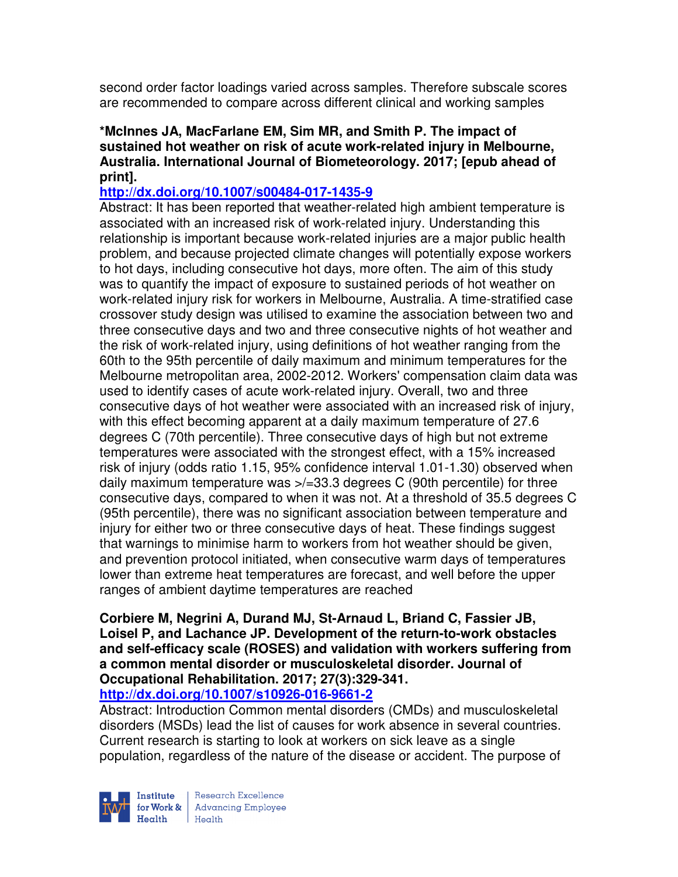second order factor loadings varied across samples. Therefore subscale scores are recommended to compare across different clinical and working samples

## **\*McInnes JA, MacFarlane EM, Sim MR, and Smith P. The impact of sustained hot weather on risk of acute work-related injury in Melbourne, Australia. International Journal of Biometeorology. 2017; [epub ahead of print].**

## **http://dx.doi.org/10.1007/s00484-017-1435-9**

Abstract: It has been reported that weather-related high ambient temperature is associated with an increased risk of work-related injury. Understanding this relationship is important because work-related injuries are a major public health problem, and because projected climate changes will potentially expose workers to hot days, including consecutive hot days, more often. The aim of this study was to quantify the impact of exposure to sustained periods of hot weather on work-related injury risk for workers in Melbourne, Australia. A time-stratified case crossover study design was utilised to examine the association between two and three consecutive days and two and three consecutive nights of hot weather and the risk of work-related injury, using definitions of hot weather ranging from the 60th to the 95th percentile of daily maximum and minimum temperatures for the Melbourne metropolitan area, 2002-2012. Workers' compensation claim data was used to identify cases of acute work-related injury. Overall, two and three consecutive days of hot weather were associated with an increased risk of injury, with this effect becoming apparent at a daily maximum temperature of 27.6 degrees C (70th percentile). Three consecutive days of high but not extreme temperatures were associated with the strongest effect, with a 15% increased risk of injury (odds ratio 1.15, 95% confidence interval 1.01-1.30) observed when daily maximum temperature was >/=33.3 degrees C (90th percentile) for three consecutive days, compared to when it was not. At a threshold of 35.5 degrees C (95th percentile), there was no significant association between temperature and injury for either two or three consecutive days of heat. These findings suggest that warnings to minimise harm to workers from hot weather should be given, and prevention protocol initiated, when consecutive warm days of temperatures lower than extreme heat temperatures are forecast, and well before the upper ranges of ambient daytime temperatures are reached

## **Corbiere M, Negrini A, Durand MJ, St-Arnaud L, Briand C, Fassier JB, Loisel P, and Lachance JP. Development of the return-to-work obstacles and self-efficacy scale (ROSES) and validation with workers suffering from a common mental disorder or musculoskeletal disorder. Journal of Occupational Rehabilitation. 2017; 27(3):329-341.**

**http://dx.doi.org/10.1007/s10926-016-9661-2** 

Abstract: Introduction Common mental disorders (CMDs) and musculoskeletal disorders (MSDs) lead the list of causes for work absence in several countries. Current research is starting to look at workers on sick leave as a single population, regardless of the nature of the disease or accident. The purpose of



Research Excellence for Work & | Advancing Employee  $H_{\text{each}}$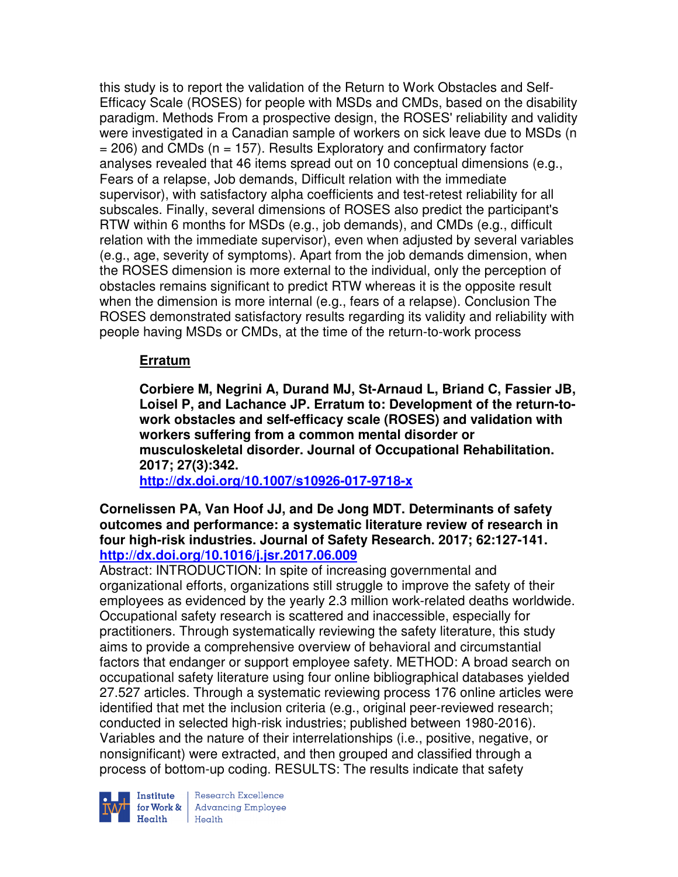this study is to report the validation of the Return to Work Obstacles and Self-Efficacy Scale (ROSES) for people with MSDs and CMDs, based on the disability paradigm. Methods From a prospective design, the ROSES' reliability and validity were investigated in a Canadian sample of workers on sick leave due to MSDs (n  $= 206$ ) and CMDs (n  $= 157$ ). Results Exploratory and confirmatory factor analyses revealed that 46 items spread out on 10 conceptual dimensions (e.g., Fears of a relapse, Job demands, Difficult relation with the immediate supervisor), with satisfactory alpha coefficients and test-retest reliability for all subscales. Finally, several dimensions of ROSES also predict the participant's RTW within 6 months for MSDs (e.g., job demands), and CMDs (e.g., difficult relation with the immediate supervisor), even when adjusted by several variables (e.g., age, severity of symptoms). Apart from the job demands dimension, when the ROSES dimension is more external to the individual, only the perception of obstacles remains significant to predict RTW whereas it is the opposite result when the dimension is more internal (e.g., fears of a relapse). Conclusion The ROSES demonstrated satisfactory results regarding its validity and reliability with people having MSDs or CMDs, at the time of the return-to-work process

# **Erratum**

**Corbiere M, Negrini A, Durand MJ, St-Arnaud L, Briand C, Fassier JB, Loisel P, and Lachance JP. Erratum to: Development of the return-towork obstacles and self-efficacy scale (ROSES) and validation with workers suffering from a common mental disorder or musculoskeletal disorder. Journal of Occupational Rehabilitation. 2017; 27(3):342.** 

**http://dx.doi.org/10.1007/s10926-017-9718-x** 

**Cornelissen PA, Van Hoof JJ, and De Jong MDT. Determinants of safety outcomes and performance: a systematic literature review of research in four high-risk industries. Journal of Safety Research. 2017; 62:127-141. http://dx.doi.org/10.1016/j.jsr.2017.06.009** 

Abstract: INTRODUCTION: In spite of increasing governmental and organizational efforts, organizations still struggle to improve the safety of their employees as evidenced by the yearly 2.3 million work-related deaths worldwide. Occupational safety research is scattered and inaccessible, especially for practitioners. Through systematically reviewing the safety literature, this study aims to provide a comprehensive overview of behavioral and circumstantial factors that endanger or support employee safety. METHOD: A broad search on occupational safety literature using four online bibliographical databases yielded 27.527 articles. Through a systematic reviewing process 176 online articles were identified that met the inclusion criteria (e.g., original peer-reviewed research; conducted in selected high-risk industries; published between 1980-2016). Variables and the nature of their interrelationships (i.e., positive, negative, or nonsignificant) were extracted, and then grouped and classified through a process of bottom-up coding. RESULTS: The results indicate that safety



**Institute** Research Excellence<br> **for Work &** Advancing Employee Health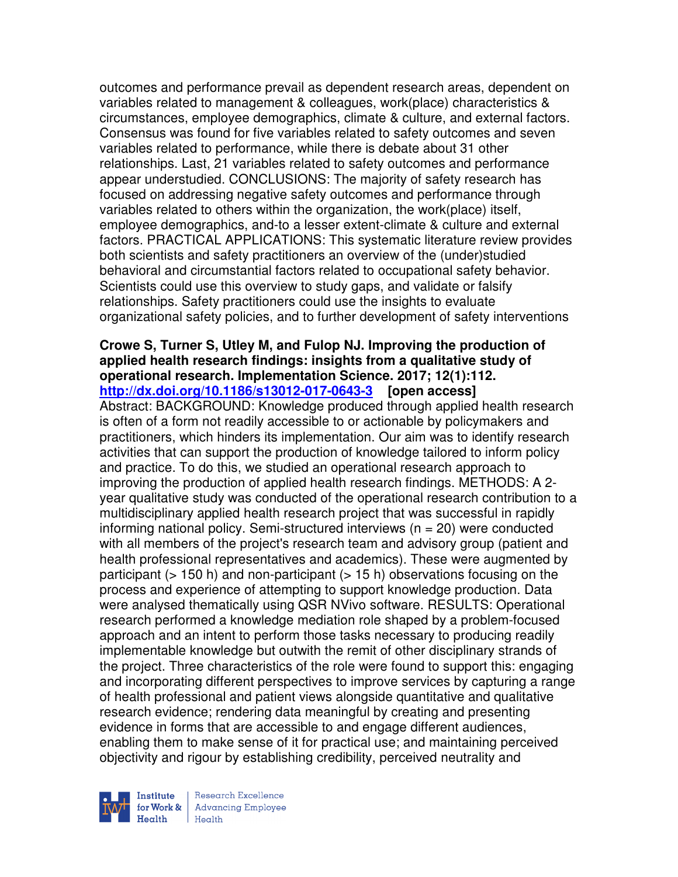outcomes and performance prevail as dependent research areas, dependent on variables related to management & colleagues, work(place) characteristics & circumstances, employee demographics, climate & culture, and external factors. Consensus was found for five variables related to safety outcomes and seven variables related to performance, while there is debate about 31 other relationships. Last, 21 variables related to safety outcomes and performance appear understudied. CONCLUSIONS: The majority of safety research has focused on addressing negative safety outcomes and performance through variables related to others within the organization, the work(place) itself, employee demographics, and-to a lesser extent-climate & culture and external factors. PRACTICAL APPLICATIONS: This systematic literature review provides both scientists and safety practitioners an overview of the (under)studied behavioral and circumstantial factors related to occupational safety behavior. Scientists could use this overview to study gaps, and validate or falsify relationships. Safety practitioners could use the insights to evaluate organizational safety policies, and to further development of safety interventions

## **Crowe S, Turner S, Utley M, and Fulop NJ. Improving the production of applied health research findings: insights from a qualitative study of operational research. Implementation Science. 2017; 12(1):112. http://dx.doi.org/10.1186/s13012-017-0643-3 [open access]**

Abstract: BACKGROUND: Knowledge produced through applied health research is often of a form not readily accessible to or actionable by policymakers and practitioners, which hinders its implementation. Our aim was to identify research activities that can support the production of knowledge tailored to inform policy and practice. To do this, we studied an operational research approach to improving the production of applied health research findings. METHODS: A 2 year qualitative study was conducted of the operational research contribution to a multidisciplinary applied health research project that was successful in rapidly informing national policy. Semi-structured interviews (n = 20) were conducted with all members of the project's research team and advisory group (patient and health professional representatives and academics). These were augmented by participant ( $> 150$  h) and non-participant ( $> 15$  h) observations focusing on the process and experience of attempting to support knowledge production. Data were analysed thematically using QSR NVivo software. RESULTS: Operational research performed a knowledge mediation role shaped by a problem-focused approach and an intent to perform those tasks necessary to producing readily implementable knowledge but outwith the remit of other disciplinary strands of the project. Three characteristics of the role were found to support this: engaging and incorporating different perspectives to improve services by capturing a range of health professional and patient views alongside quantitative and qualitative research evidence; rendering data meaningful by creating and presenting evidence in forms that are accessible to and engage different audiences, enabling them to make sense of it for practical use; and maintaining perceived objectivity and rigour by establishing credibility, perceived neutrality and



Research Excellence for Work & | Advancing Employee Health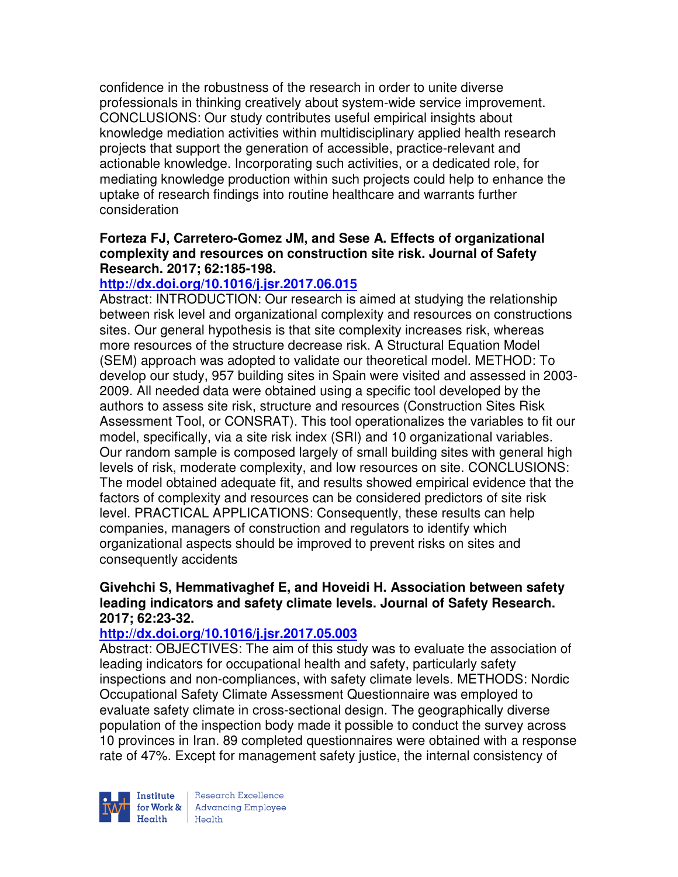confidence in the robustness of the research in order to unite diverse professionals in thinking creatively about system-wide service improvement. CONCLUSIONS: Our study contributes useful empirical insights about knowledge mediation activities within multidisciplinary applied health research projects that support the generation of accessible, practice-relevant and actionable knowledge. Incorporating such activities, or a dedicated role, for mediating knowledge production within such projects could help to enhance the uptake of research findings into routine healthcare and warrants further consideration

## **Forteza FJ, Carretero-Gomez JM, and Sese A. Effects of organizational complexity and resources on construction site risk. Journal of Safety Research. 2017; 62:185-198.**

## **http://dx.doi.org/10.1016/j.jsr.2017.06.015**

Abstract: INTRODUCTION: Our research is aimed at studying the relationship between risk level and organizational complexity and resources on constructions sites. Our general hypothesis is that site complexity increases risk, whereas more resources of the structure decrease risk. A Structural Equation Model (SEM) approach was adopted to validate our theoretical model. METHOD: To develop our study, 957 building sites in Spain were visited and assessed in 2003- 2009. All needed data were obtained using a specific tool developed by the authors to assess site risk, structure and resources (Construction Sites Risk Assessment Tool, or CONSRAT). This tool operationalizes the variables to fit our model, specifically, via a site risk index (SRI) and 10 organizational variables. Our random sample is composed largely of small building sites with general high levels of risk, moderate complexity, and low resources on site. CONCLUSIONS: The model obtained adequate fit, and results showed empirical evidence that the factors of complexity and resources can be considered predictors of site risk level. PRACTICAL APPLICATIONS: Consequently, these results can help companies, managers of construction and regulators to identify which organizational aspects should be improved to prevent risks on sites and consequently accidents

## **Givehchi S, Hemmativaghef E, and Hoveidi H. Association between safety leading indicators and safety climate levels. Journal of Safety Research. 2017; 62:23-32.**

## **http://dx.doi.org/10.1016/j.jsr.2017.05.003**

Abstract: OBJECTIVES: The aim of this study was to evaluate the association of leading indicators for occupational health and safety, particularly safety inspections and non-compliances, with safety climate levels. METHODS: Nordic Occupational Safety Climate Assessment Questionnaire was employed to evaluate safety climate in cross-sectional design. The geographically diverse population of the inspection body made it possible to conduct the survey across 10 provinces in Iran. 89 completed questionnaires were obtained with a response rate of 47%. Except for management safety justice, the internal consistency of



Research Excellence for Work & Advancing Employee<br>Health Health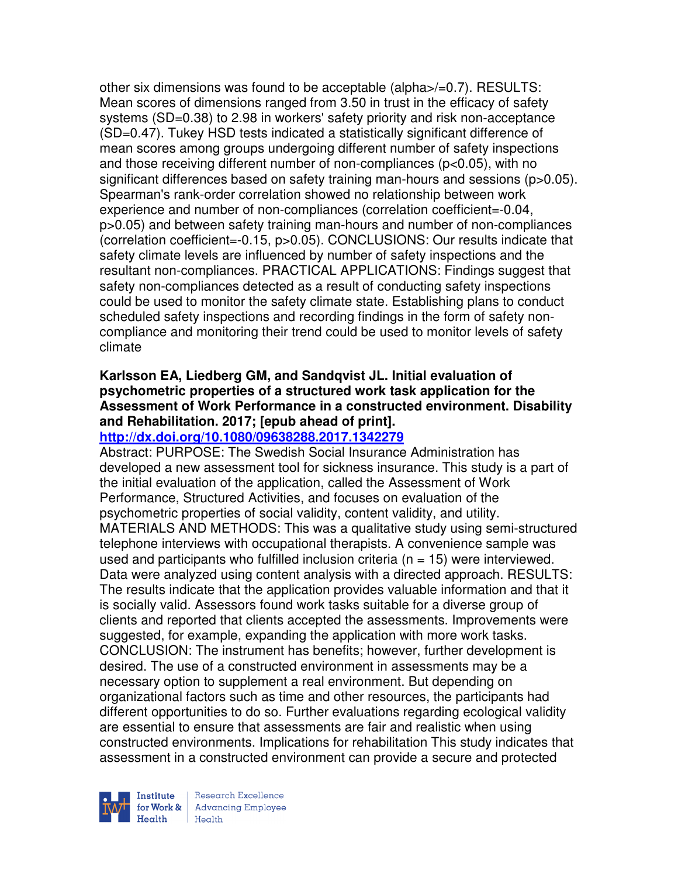other six dimensions was found to be acceptable (alpha>/=0.7). RESULTS: Mean scores of dimensions ranged from 3.50 in trust in the efficacy of safety systems (SD=0.38) to 2.98 in workers' safety priority and risk non-acceptance (SD=0.47). Tukey HSD tests indicated a statistically significant difference of mean scores among groups undergoing different number of safety inspections and those receiving different number of non-compliances (p<0.05), with no significant differences based on safety training man-hours and sessions (p>0.05). Spearman's rank-order correlation showed no relationship between work experience and number of non-compliances (correlation coefficient=-0.04, p>0.05) and between safety training man-hours and number of non-compliances (correlation coefficient=-0.15, p>0.05). CONCLUSIONS: Our results indicate that safety climate levels are influenced by number of safety inspections and the resultant non-compliances. PRACTICAL APPLICATIONS: Findings suggest that safety non-compliances detected as a result of conducting safety inspections could be used to monitor the safety climate state. Establishing plans to conduct scheduled safety inspections and recording findings in the form of safety noncompliance and monitoring their trend could be used to monitor levels of safety climate

# **Karlsson EA, Liedberg GM, and Sandqvist JL. Initial evaluation of psychometric properties of a structured work task application for the Assessment of Work Performance in a constructed environment. Disability and Rehabilitation. 2017; [epub ahead of print].**

#### **http://dx.doi.org/10.1080/09638288.2017.1342279**

Abstract: PURPOSE: The Swedish Social Insurance Administration has developed a new assessment tool for sickness insurance. This study is a part of the initial evaluation of the application, called the Assessment of Work Performance, Structured Activities, and focuses on evaluation of the psychometric properties of social validity, content validity, and utility. MATERIALS AND METHODS: This was a qualitative study using semi-structured telephone interviews with occupational therapists. A convenience sample was used and participants who fulfilled inclusion criteria ( $n = 15$ ) were interviewed. Data were analyzed using content analysis with a directed approach. RESULTS: The results indicate that the application provides valuable information and that it is socially valid. Assessors found work tasks suitable for a diverse group of clients and reported that clients accepted the assessments. Improvements were suggested, for example, expanding the application with more work tasks. CONCLUSION: The instrument has benefits; however, further development is desired. The use of a constructed environment in assessments may be a necessary option to supplement a real environment. But depending on organizational factors such as time and other resources, the participants had different opportunities to do so. Further evaluations regarding ecological validity are essential to ensure that assessments are fair and realistic when using constructed environments. Implications for rehabilitation This study indicates that assessment in a constructed environment can provide a secure and protected



Research Excellence **Institute** Research Excellence<br> **for Work &** Advancing Employee Health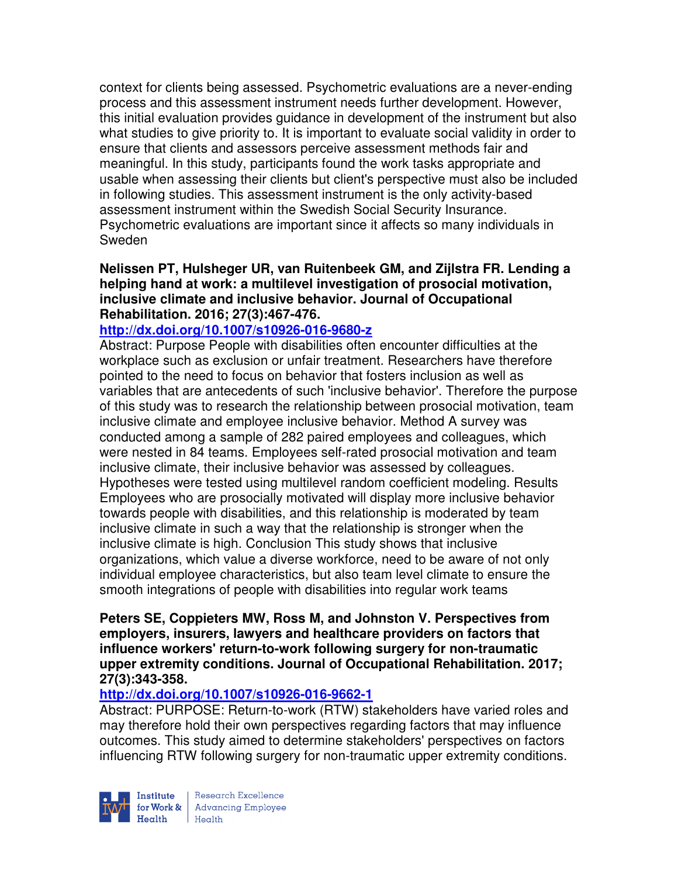context for clients being assessed. Psychometric evaluations are a never-ending process and this assessment instrument needs further development. However, this initial evaluation provides guidance in development of the instrument but also what studies to give priority to. It is important to evaluate social validity in order to ensure that clients and assessors perceive assessment methods fair and meaningful. In this study, participants found the work tasks appropriate and usable when assessing their clients but client's perspective must also be included in following studies. This assessment instrument is the only activity-based assessment instrument within the Swedish Social Security Insurance. Psychometric evaluations are important since it affects so many individuals in Sweden

## **Nelissen PT, Hulsheger UR, van Ruitenbeek GM, and Zijlstra FR. Lending a helping hand at work: a multilevel investigation of prosocial motivation, inclusive climate and inclusive behavior. Journal of Occupational Rehabilitation. 2016; 27(3):467-476.**

## **http://dx.doi.org/10.1007/s10926-016-9680-z**

Abstract: Purpose People with disabilities often encounter difficulties at the workplace such as exclusion or unfair treatment. Researchers have therefore pointed to the need to focus on behavior that fosters inclusion as well as variables that are antecedents of such 'inclusive behavior'. Therefore the purpose of this study was to research the relationship between prosocial motivation, team inclusive climate and employee inclusive behavior. Method A survey was conducted among a sample of 282 paired employees and colleagues, which were nested in 84 teams. Employees self-rated prosocial motivation and team inclusive climate, their inclusive behavior was assessed by colleagues. Hypotheses were tested using multilevel random coefficient modeling. Results Employees who are prosocially motivated will display more inclusive behavior towards people with disabilities, and this relationship is moderated by team inclusive climate in such a way that the relationship is stronger when the inclusive climate is high. Conclusion This study shows that inclusive organizations, which value a diverse workforce, need to be aware of not only individual employee characteristics, but also team level climate to ensure the smooth integrations of people with disabilities into regular work teams

#### **Peters SE, Coppieters MW, Ross M, and Johnston V. Perspectives from employers, insurers, lawyers and healthcare providers on factors that influence workers' return-to-work following surgery for non-traumatic upper extremity conditions. Journal of Occupational Rehabilitation. 2017; 27(3):343-358.**

## **http://dx.doi.org/10.1007/s10926-016-9662-1**

Abstract: PURPOSE: Return-to-work (RTW) stakeholders have varied roles and may therefore hold their own perspectives regarding factors that may influence outcomes. This study aimed to determine stakeholders' perspectives on factors influencing RTW following surgery for non-traumatic upper extremity conditions.

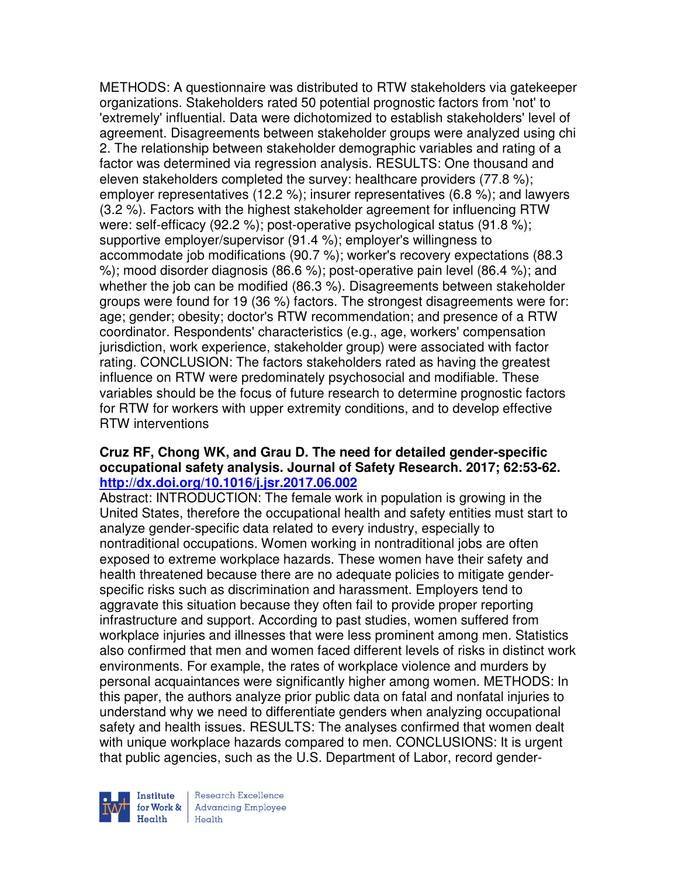METHODS: A questionnaire was distributed to RTW stakeholders via gatekeeper organizations. Stakeholders rated 50 potential prognostic factors from 'not' to 'extremely' influential. Data were dichotomized to establish stakeholders' level of agreement. Disagreements between stakeholder groups were analyzed using chi 2. The relationship between stakeholder demographic variables and rating of a factor was determined via regression analysis. RESULTS: One thousand and eleven stakeholders completed the survey: healthcare providers (77.8 %); employer representatives (12.2 %); insurer representatives (6.8 %); and lawyers (3.2 %). Factors with the highest stakeholder agreement for influencing RTW were: self-efficacy (92.2 %); post-operative psychological status (91.8 %); supportive employer/supervisor (91.4 %); employer's willingness to accommodate job modifications (90.7 %); worker's recovery expectations (88.3 %); mood disorder diagnosis (86.6 %); post-operative pain level (86.4 %); and whether the job can be modified (86.3 %). Disagreements between stakeholder groups were found for 19 (36 %) factors. The strongest disagreements were for: age; gender; obesity; doctor's RTW recommendation; and presence of a RTW coordinator. Respondents' characteristics (e.g., age, workers' compensation jurisdiction, work experience, stakeholder group) were associated with factor rating. CONCLUSION: The factors stakeholders rated as having the greatest influence on RTW were predominately psychosocial and modifiable. These variables should be the focus of future research to determine prognostic factors for RTW for workers with upper extremity conditions, and to develop effective RTW interventions

## **Cruz RF, Chong WK, and Grau D. The need for detailed gender-specific occupational safety analysis. Journal of Safety Research. 2017; 62:53-62. http://dx.doi.org/10.1016/j.jsr.2017.06.002**

Abstract: INTRODUCTION: The female work in population is growing in the United States, therefore the occupational health and safety entities must start to analyze gender-specific data related to every industry, especially to nontraditional occupations. Women working in nontraditional jobs are often exposed to extreme workplace hazards. These women have their safety and health threatened because there are no adequate policies to mitigate genderspecific risks such as discrimination and harassment. Employers tend to aggravate this situation because they often fail to provide proper reporting infrastructure and support. According to past studies, women suffered from workplace injuries and illnesses that were less prominent among men. Statistics also confirmed that men and women faced different levels of risks in distinct work environments. For example, the rates of workplace violence and murders by personal acquaintances were significantly higher among women. METHODS: In this paper, the authors analyze prior public data on fatal and nonfatal injuries to understand why we need to differentiate genders when analyzing occupational safety and health issues. RESULTS: The analyses confirmed that women dealt with unique workplace hazards compared to men. CONCLUSIONS: It is urgent that public agencies, such as the U.S. Department of Labor, record gender-



Research Excellence for Work & | Advancing Employee Health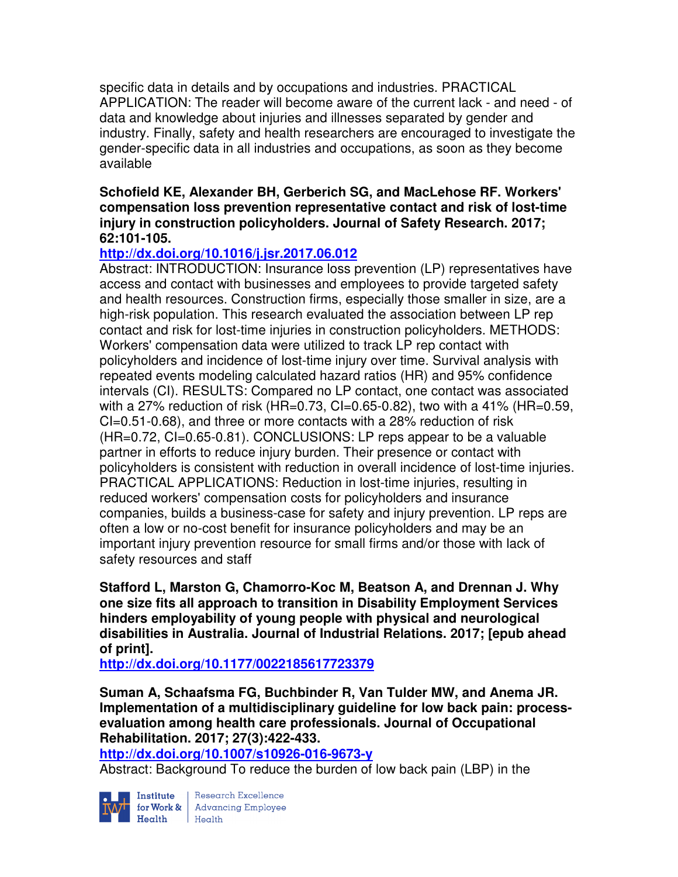specific data in details and by occupations and industries. PRACTICAL APPLICATION: The reader will become aware of the current lack - and need - of data and knowledge about injuries and illnesses separated by gender and industry. Finally, safety and health researchers are encouraged to investigate the gender-specific data in all industries and occupations, as soon as they become available

### **Schofield KE, Alexander BH, Gerberich SG, and MacLehose RF. Workers' compensation loss prevention representative contact and risk of lost-time injury in construction policyholders. Journal of Safety Research. 2017; 62:101-105.**

# **http://dx.doi.org/10.1016/j.jsr.2017.06.012**

Abstract: INTRODUCTION: Insurance loss prevention (LP) representatives have access and contact with businesses and employees to provide targeted safety and health resources. Construction firms, especially those smaller in size, are a high-risk population. This research evaluated the association between LP rep contact and risk for lost-time injuries in construction policyholders. METHODS: Workers' compensation data were utilized to track LP rep contact with policyholders and incidence of lost-time injury over time. Survival analysis with repeated events modeling calculated hazard ratios (HR) and 95% confidence intervals (CI). RESULTS: Compared no LP contact, one contact was associated with a 27% reduction of risk (HR=0.73, CI=0.65-0.82), two with a 41% (HR=0.59, CI=0.51-0.68), and three or more contacts with a 28% reduction of risk (HR=0.72, CI=0.65-0.81). CONCLUSIONS: LP reps appear to be a valuable partner in efforts to reduce injury burden. Their presence or contact with policyholders is consistent with reduction in overall incidence of lost-time injuries. PRACTICAL APPLICATIONS: Reduction in lost-time injuries, resulting in reduced workers' compensation costs for policyholders and insurance companies, builds a business-case for safety and injury prevention. LP reps are often a low or no-cost benefit for insurance policyholders and may be an important injury prevention resource for small firms and/or those with lack of safety resources and staff

**Stafford L, Marston G, Chamorro-Koc M, Beatson A, and Drennan J. Why one size fits all approach to transition in Disability Employment Services hinders employability of young people with physical and neurological disabilities in Australia. Journal of Industrial Relations. 2017; [epub ahead of print].** 

**http://dx.doi.org/10.1177/0022185617723379** 

**Suman A, Schaafsma FG, Buchbinder R, Van Tulder MW, and Anema JR. Implementation of a multidisciplinary guideline for low back pain: processevaluation among health care professionals. Journal of Occupational Rehabilitation. 2017; 27(3):422-433.** 

**http://dx.doi.org/10.1007/s10926-016-9673-y** 

Abstract: Background To reduce the burden of low back pain (LBP) in the



**Institute** Research Excellence<br> **for Work &** Advancing Employee<br> **Health** Health Health Health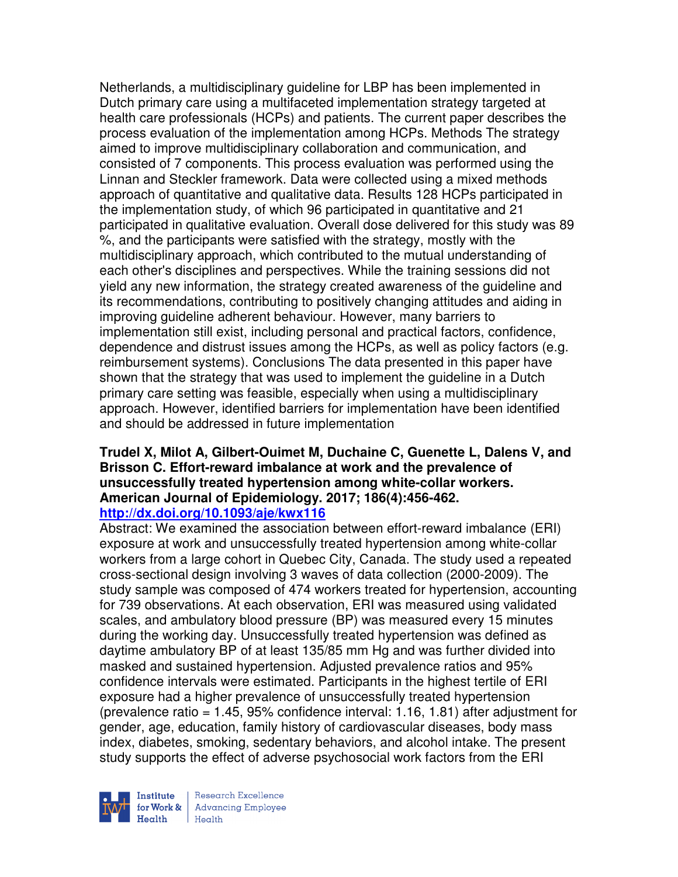Netherlands, a multidisciplinary guideline for LBP has been implemented in Dutch primary care using a multifaceted implementation strategy targeted at health care professionals (HCPs) and patients. The current paper describes the process evaluation of the implementation among HCPs. Methods The strategy aimed to improve multidisciplinary collaboration and communication, and consisted of 7 components. This process evaluation was performed using the Linnan and Steckler framework. Data were collected using a mixed methods approach of quantitative and qualitative data. Results 128 HCPs participated in the implementation study, of which 96 participated in quantitative and 21 participated in qualitative evaluation. Overall dose delivered for this study was 89 %, and the participants were satisfied with the strategy, mostly with the multidisciplinary approach, which contributed to the mutual understanding of each other's disciplines and perspectives. While the training sessions did not yield any new information, the strategy created awareness of the guideline and its recommendations, contributing to positively changing attitudes and aiding in improving guideline adherent behaviour. However, many barriers to implementation still exist, including personal and practical factors, confidence, dependence and distrust issues among the HCPs, as well as policy factors (e.g. reimbursement systems). Conclusions The data presented in this paper have shown that the strategy that was used to implement the guideline in a Dutch primary care setting was feasible, especially when using a multidisciplinary approach. However, identified barriers for implementation have been identified and should be addressed in future implementation

#### **Trudel X, Milot A, Gilbert-Ouimet M, Duchaine C, Guenette L, Dalens V, and Brisson C. Effort-reward imbalance at work and the prevalence of unsuccessfully treated hypertension among white-collar workers. American Journal of Epidemiology. 2017; 186(4):456-462. http://dx.doi.org/10.1093/aje/kwx116**

Abstract: We examined the association between effort-reward imbalance (ERI) exposure at work and unsuccessfully treated hypertension among white-collar workers from a large cohort in Quebec City, Canada. The study used a repeated cross-sectional design involving 3 waves of data collection (2000-2009). The study sample was composed of 474 workers treated for hypertension, accounting for 739 observations. At each observation, ERI was measured using validated scales, and ambulatory blood pressure (BP) was measured every 15 minutes during the working day. Unsuccessfully treated hypertension was defined as daytime ambulatory BP of at least 135/85 mm Hg and was further divided into masked and sustained hypertension. Adjusted prevalence ratios and 95% confidence intervals were estimated. Participants in the highest tertile of ERI exposure had a higher prevalence of unsuccessfully treated hypertension (prevalence ratio =  $1.45$ ,  $95\%$  confidence interval: 1.16, 1.81) after adjustment for gender, age, education, family history of cardiovascular diseases, body mass index, diabetes, smoking, sedentary behaviors, and alcohol intake. The present study supports the effect of adverse psychosocial work factors from the ERI



Research Excellence **Institute** Research Excellence<br> **For Work &**<br>
Reduction Employee Health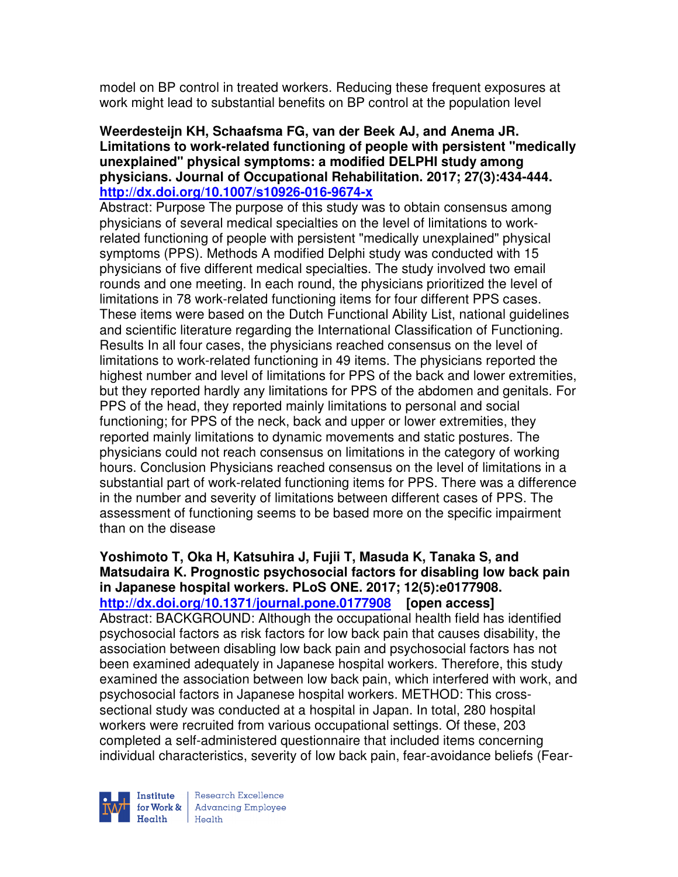model on BP control in treated workers. Reducing these frequent exposures at work might lead to substantial benefits on BP control at the population level

### **Weerdesteijn KH, Schaafsma FG, van der Beek AJ, and Anema JR. Limitations to work-related functioning of people with persistent "medically unexplained" physical symptoms: a modified DELPHI study among physicians. Journal of Occupational Rehabilitation. 2017; 27(3):434-444. http://dx.doi.org/10.1007/s10926-016-9674-x**

Abstract: Purpose The purpose of this study was to obtain consensus among physicians of several medical specialties on the level of limitations to workrelated functioning of people with persistent "medically unexplained" physical symptoms (PPS). Methods A modified Delphi study was conducted with 15 physicians of five different medical specialties. The study involved two email rounds and one meeting. In each round, the physicians prioritized the level of limitations in 78 work-related functioning items for four different PPS cases. These items were based on the Dutch Functional Ability List, national guidelines and scientific literature regarding the International Classification of Functioning. Results In all four cases, the physicians reached consensus on the level of limitations to work-related functioning in 49 items. The physicians reported the highest number and level of limitations for PPS of the back and lower extremities, but they reported hardly any limitations for PPS of the abdomen and genitals. For PPS of the head, they reported mainly limitations to personal and social functioning; for PPS of the neck, back and upper or lower extremities, they reported mainly limitations to dynamic movements and static postures. The physicians could not reach consensus on limitations in the category of working hours. Conclusion Physicians reached consensus on the level of limitations in a substantial part of work-related functioning items for PPS. There was a difference in the number and severity of limitations between different cases of PPS. The assessment of functioning seems to be based more on the specific impairment than on the disease

**Yoshimoto T, Oka H, Katsuhira J, Fujii T, Masuda K, Tanaka S, and Matsudaira K. Prognostic psychosocial factors for disabling low back pain in Japanese hospital workers. PLoS ONE. 2017; 12(5):e0177908. http://dx.doi.org/10.1371/journal.pone.0177908 [open access]** Abstract: BACKGROUND: Although the occupational health field has identified psychosocial factors as risk factors for low back pain that causes disability, the association between disabling low back pain and psychosocial factors has not been examined adequately in Japanese hospital workers. Therefore, this study examined the association between low back pain, which interfered with work, and psychosocial factors in Japanese hospital workers. METHOD: This crosssectional study was conducted at a hospital in Japan. In total, 280 hospital workers were recruited from various occupational settings. Of these, 203 completed a self-administered questionnaire that included items concerning individual characteristics, severity of low back pain, fear-avoidance beliefs (Fear-



Research Excellence for Work & | Advancing Employee Health